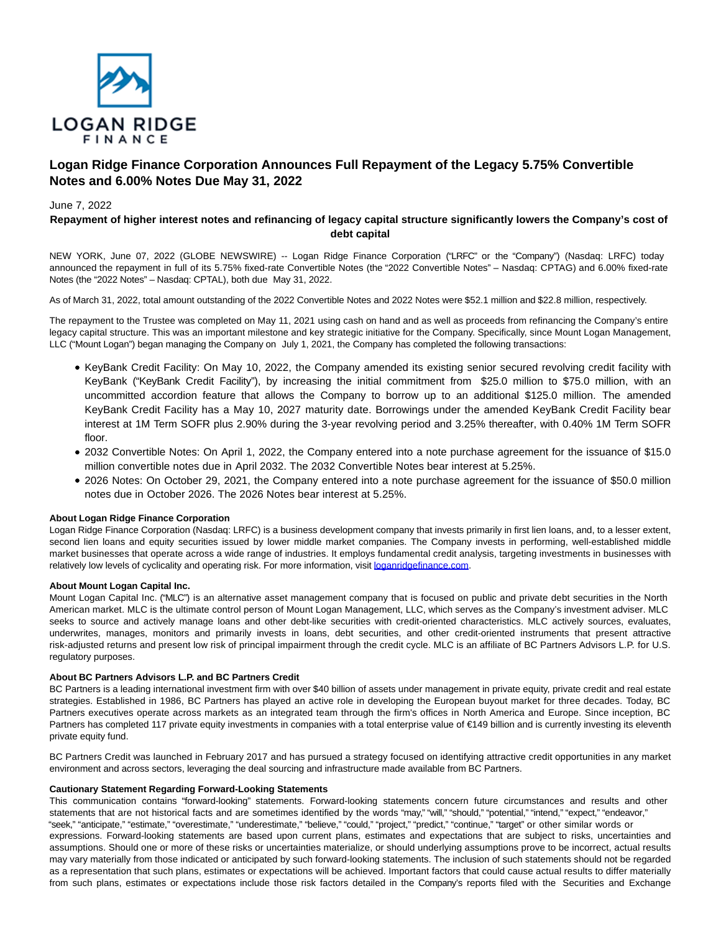

# **Logan Ridge Finance Corporation Announces Full Repayment of the Legacy 5.75% Convertible Notes and 6.00% Notes Due May 31, 2022**

## June 7, 2022

## **Repayment of higher interest notes and refinancing of legacy capital structure significantly lowers the Company's cost of debt capital**

NEW YORK, June 07, 2022 (GLOBE NEWSWIRE) -- Logan Ridge Finance Corporation ("LRFC" or the "Company") (Nasdaq: LRFC) today announced the repayment in full of its 5.75% fixed-rate Convertible Notes (the "2022 Convertible Notes" – Nasdaq: CPTAG) and 6.00% fixed-rate Notes (the "2022 Notes" – Nasdaq: CPTAL), both due May 31, 2022.

As of March 31, 2022, total amount outstanding of the 2022 Convertible Notes and 2022 Notes were \$52.1 million and \$22.8 million, respectively.

The repayment to the Trustee was completed on May 11, 2021 using cash on hand and as well as proceeds from refinancing the Company's entire legacy capital structure. This was an important milestone and key strategic initiative for the Company. Specifically, since Mount Logan Management, LLC ("Mount Logan") began managing the Company on July 1, 2021, the Company has completed the following transactions:

- KeyBank Credit Facility: On May 10, 2022, the Company amended its existing senior secured revolving credit facility with KeyBank ("KeyBank Credit Facility"), by increasing the initial commitment from \$25.0 million to \$75.0 million, with an uncommitted accordion feature that allows the Company to borrow up to an additional \$125.0 million. The amended KeyBank Credit Facility has a May 10, 2027 maturity date. Borrowings under the amended KeyBank Credit Facility bear interest at 1M Term SOFR plus 2.90% during the 3-year revolving period and 3.25% thereafter, with 0.40% 1M Term SOFR floor.
- 2032 Convertible Notes: On April 1, 2022, the Company entered into a note purchase agreement for the issuance of \$15.0 million convertible notes due in April 2032. The 2032 Convertible Notes bear interest at 5.25%.
- 2026 Notes: On October 29, 2021, the Company entered into a note purchase agreement for the issuance of \$50.0 million notes due in October 2026. The 2026 Notes bear interest at 5.25%.

### **About Logan Ridge Finance Corporation**

Logan Ridge Finance Corporation (Nasdaq: LRFC) is a business development company that invests primarily in first lien loans, and, to a lesser extent, second lien loans and equity securities issued by lower middle market companies. The Company invests in performing, well-established middle market businesses that operate across a wide range of industries. It employs fundamental credit analysis, targeting investments in businesses with relatively low levels of cyclicality and operating risk. For more information, visit [loganridgefinance.com.](http://loganridgefinance.com/)

### **About Mount Logan Capital Inc.**

Mount Logan Capital Inc. ("MLC") is an alternative asset management company that is focused on public and private debt securities in the North American market. MLC is the ultimate control person of Mount Logan Management, LLC, which serves as the Company's investment adviser. MLC seeks to source and actively manage loans and other debt-like securities with credit-oriented characteristics. MLC actively sources, evaluates, underwrites, manages, monitors and primarily invests in loans, debt securities, and other credit-oriented instruments that present attractive risk-adjusted returns and present low risk of principal impairment through the credit cycle. MLC is an affiliate of BC Partners Advisors L.P. for U.S. regulatory purposes.

#### **About BC Partners Advisors L.P. and BC Partners Credit**

BC Partners is a leading international investment firm with over \$40 billion of assets under management in private equity, private credit and real estate strategies. Established in 1986, BC Partners has played an active role in developing the European buyout market for three decades. Today, BC Partners executives operate across markets as an integrated team through the firm's offices in North America and Europe. Since inception, BC Partners has completed 117 private equity investments in companies with a total enterprise value of €149 billion and is currently investing its eleventh private equity fund.

BC Partners Credit was launched in February 2017 and has pursued a strategy focused on identifying attractive credit opportunities in any market environment and across sectors, leveraging the deal sourcing and infrastructure made available from BC Partners.

### **Cautionary Statement Regarding Forward-Looking Statements**

This communication contains "forward-looking" statements. Forward-looking statements concern future circumstances and results and other statements that are not historical facts and are sometimes identified by the words "may," "will," "should," "potential," "intend," "expect," "endeavor," "seek," "anticipate," "estimate," "overestimate," "underestimate," "believe," "could," "project," "predict," "continue," "target" or other similar words or expressions. Forward-looking statements are based upon current plans, estimates and expectations that are subject to risks, uncertainties and assumptions. Should one or more of these risks or uncertainties materialize, or should underlying assumptions prove to be incorrect, actual results may vary materially from those indicated or anticipated by such forward-looking statements. The inclusion of such statements should not be regarded as a representation that such plans, estimates or expectations will be achieved. Important factors that could cause actual results to differ materially from such plans, estimates or expectations include those risk factors detailed in the Company's reports filed with the Securities and Exchange